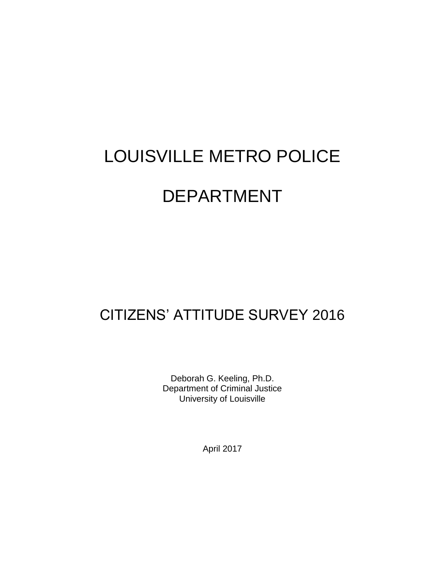# LOUISVILLE METRO POLICE DEPARTMENT

# CITIZENS' ATTITUDE SURVEY 2016

Deborah G. Keeling, Ph.D. Department of Criminal Justice University of Louisville

April 2017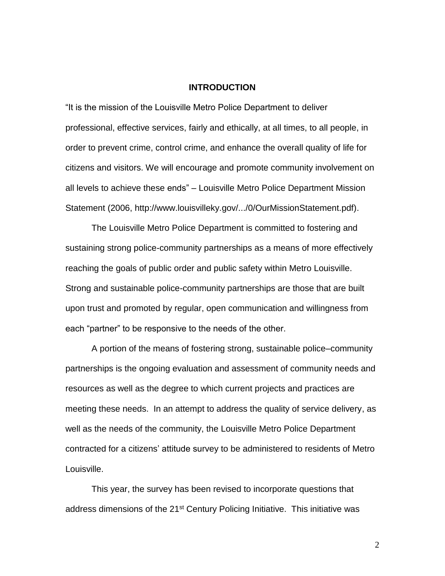#### **INTRODUCTION**

"It is the mission of the Louisville Metro Police Department to deliver professional, effective services, fairly and ethically, at all times, to all people, in order to prevent crime, control crime, and enhance the overall quality of life for citizens and visitors. We will encourage and promote community involvement on all levels to achieve these ends" – Louisville Metro Police Department Mission Statement (2006, http://www.louisvilleky.gov/.../0/OurMissionStatement.pdf).

The Louisville Metro Police Department is committed to fostering and sustaining strong police-community partnerships as a means of more effectively reaching the goals of public order and public safety within Metro Louisville. Strong and sustainable police-community partnerships are those that are built upon trust and promoted by regular, open communication and willingness from each "partner" to be responsive to the needs of the other.

A portion of the means of fostering strong, sustainable police–community partnerships is the ongoing evaluation and assessment of community needs and resources as well as the degree to which current projects and practices are meeting these needs. In an attempt to address the quality of service delivery, as well as the needs of the community, the Louisville Metro Police Department contracted for a citizens' attitude survey to be administered to residents of Metro Louisville.

This year, the survey has been revised to incorporate questions that address dimensions of the 21<sup>st</sup> Century Policing Initiative. This initiative was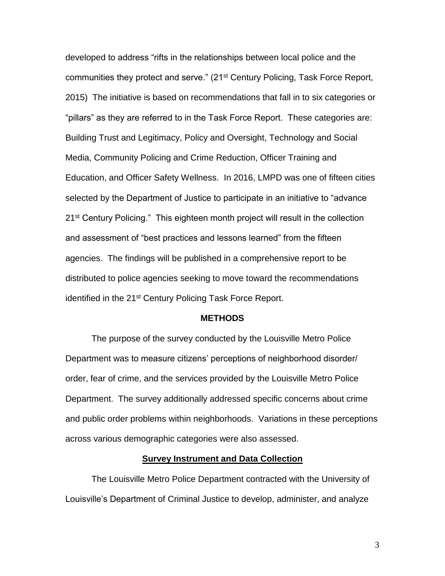developed to address "rifts in the relationships between local police and the communities they protect and serve." (21st Century Policing, Task Force Report, 2015) The initiative is based on recommendations that fall in to six categories or "pillars" as they are referred to in the Task Force Report. These categories are: Building Trust and Legitimacy, Policy and Oversight, Technology and Social Media, Community Policing and Crime Reduction, Officer Training and Education, and Officer Safety Wellness. In 2016, LMPD was one of fifteen cities selected by the Department of Justice to participate in an initiative to "advance 21<sup>st</sup> Century Policing." This eighteen month project will result in the collection and assessment of "best practices and lessons learned" from the fifteen agencies. The findings will be published in a comprehensive report to be distributed to police agencies seeking to move toward the recommendations identified in the 21<sup>st</sup> Century Policing Task Force Report.

#### **METHODS**

The purpose of the survey conducted by the Louisville Metro Police Department was to measure citizens' perceptions of neighborhood disorder/ order, fear of crime, and the services provided by the Louisville Metro Police Department. The survey additionally addressed specific concerns about crime and public order problems within neighborhoods. Variations in these perceptions across various demographic categories were also assessed.

#### **Survey Instrument and Data Collection**

The Louisville Metro Police Department contracted with the University of Louisville's Department of Criminal Justice to develop, administer, and analyze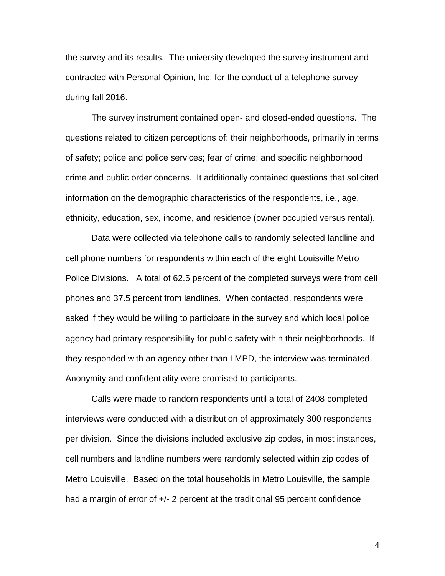the survey and its results. The university developed the survey instrument and contracted with Personal Opinion, Inc. for the conduct of a telephone survey during fall 2016.

The survey instrument contained open- and closed-ended questions. The questions related to citizen perceptions of: their neighborhoods, primarily in terms of safety; police and police services; fear of crime; and specific neighborhood crime and public order concerns. It additionally contained questions that solicited information on the demographic characteristics of the respondents, i.e., age, ethnicity, education, sex, income, and residence (owner occupied versus rental).

Data were collected via telephone calls to randomly selected landline and cell phone numbers for respondents within each of the eight Louisville Metro Police Divisions. A total of 62.5 percent of the completed surveys were from cell phones and 37.5 percent from landlines. When contacted, respondents were asked if they would be willing to participate in the survey and which local police agency had primary responsibility for public safety within their neighborhoods. If they responded with an agency other than LMPD, the interview was terminated. Anonymity and confidentiality were promised to participants.

Calls were made to random respondents until a total of 2408 completed interviews were conducted with a distribution of approximately 300 respondents per division. Since the divisions included exclusive zip codes, in most instances, cell numbers and landline numbers were randomly selected within zip codes of Metro Louisville. Based on the total households in Metro Louisville, the sample had a margin of error of  $+/- 2$  percent at the traditional 95 percent confidence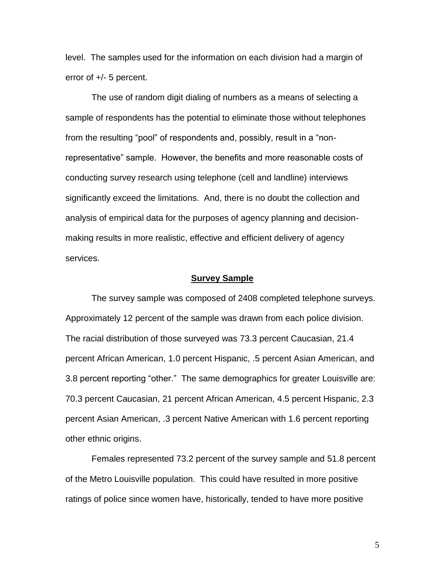level. The samples used for the information on each division had a margin of error of +/- 5 percent.

The use of random digit dialing of numbers as a means of selecting a sample of respondents has the potential to eliminate those without telephones from the resulting "pool" of respondents and, possibly, result in a "nonrepresentative" sample. However, the benefits and more reasonable costs of conducting survey research using telephone (cell and landline) interviews significantly exceed the limitations. And, there is no doubt the collection and analysis of empirical data for the purposes of agency planning and decisionmaking results in more realistic, effective and efficient delivery of agency services.

#### **Survey Sample**

The survey sample was composed of 2408 completed telephone surveys. Approximately 12 percent of the sample was drawn from each police division. The racial distribution of those surveyed was 73.3 percent Caucasian, 21.4 percent African American, 1.0 percent Hispanic, .5 percent Asian American, and 3.8 percent reporting "other." The same demographics for greater Louisville are: 70.3 percent Caucasian, 21 percent African American, 4.5 percent Hispanic, 2.3 percent Asian American, .3 percent Native American with 1.6 percent reporting other ethnic origins.

Females represented 73.2 percent of the survey sample and 51.8 percent of the Metro Louisville population. This could have resulted in more positive ratings of police since women have, historically, tended to have more positive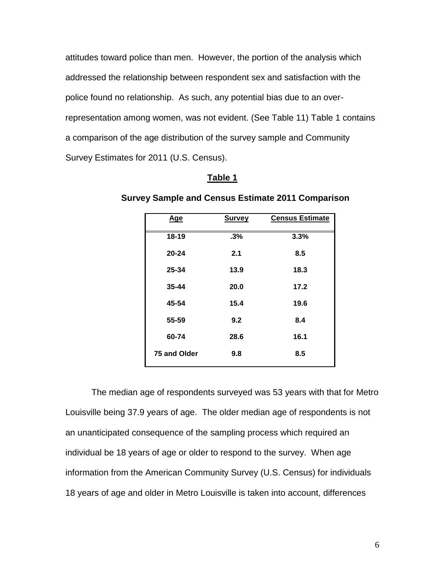attitudes toward police than men. However, the portion of the analysis which addressed the relationship between respondent sex and satisfaction with the police found no relationship. As such, any potential bias due to an overrepresentation among women, was not evident. (See Table 11) Table 1 contains a comparison of the age distribution of the survey sample and Community Survey Estimates for 2011 (U.S. Census).

#### **Table 1**

| Age          | <b>Survey</b> | <b>Census Estimate</b> |
|--------------|---------------|------------------------|
| 18-19        | .3%           | 3.3%                   |
| $20 - 24$    | 2.1           | 8.5                    |
| 25-34        | 13.9          | 18.3                   |
| $35 - 44$    | 20.0          | 17.2                   |
| 45-54        | 15.4          | 19.6                   |
| 55-59        | 9.2           | 8.4                    |
| 60-74        | 28.6          | 16.1                   |
| 75 and Older | 9.8           | 8.5                    |

#### **Survey Sample and Census Estimate 2011 Comparison**

The median age of respondents surveyed was 53 years with that for Metro Louisville being 37.9 years of age. The older median age of respondents is not an unanticipated consequence of the sampling process which required an individual be 18 years of age or older to respond to the survey. When age information from the American Community Survey (U.S. Census) for individuals 18 years of age and older in Metro Louisville is taken into account, differences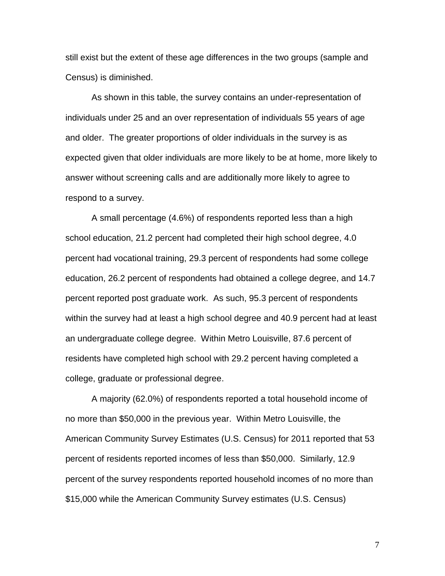still exist but the extent of these age differences in the two groups (sample and Census) is diminished.

As shown in this table, the survey contains an under-representation of individuals under 25 and an over representation of individuals 55 years of age and older. The greater proportions of older individuals in the survey is as expected given that older individuals are more likely to be at home, more likely to answer without screening calls and are additionally more likely to agree to respond to a survey.

A small percentage (4.6%) of respondents reported less than a high school education, 21.2 percent had completed their high school degree, 4.0 percent had vocational training, 29.3 percent of respondents had some college education, 26.2 percent of respondents had obtained a college degree, and 14.7 percent reported post graduate work. As such, 95.3 percent of respondents within the survey had at least a high school degree and 40.9 percent had at least an undergraduate college degree. Within Metro Louisville, 87.6 percent of residents have completed high school with 29.2 percent having completed a college, graduate or professional degree.

A majority (62.0%) of respondents reported a total household income of no more than \$50,000 in the previous year. Within Metro Louisville, the American Community Survey Estimates (U.S. Census) for 2011 reported that 53 percent of residents reported incomes of less than \$50,000. Similarly, 12.9 percent of the survey respondents reported household incomes of no more than \$15,000 while the American Community Survey estimates (U.S. Census)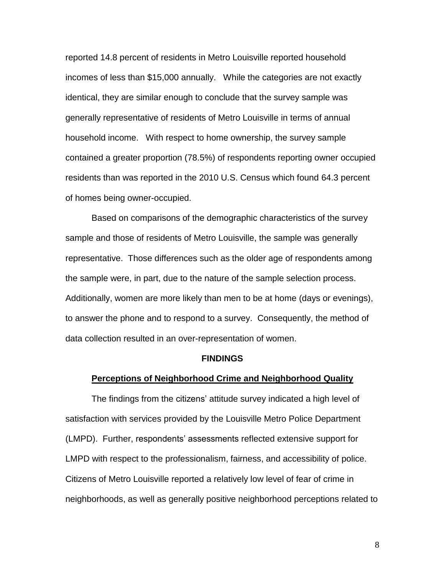reported 14.8 percent of residents in Metro Louisville reported household incomes of less than \$15,000 annually. While the categories are not exactly identical, they are similar enough to conclude that the survey sample was generally representative of residents of Metro Louisville in terms of annual household income. With respect to home ownership, the survey sample contained a greater proportion (78.5%) of respondents reporting owner occupied residents than was reported in the 2010 U.S. Census which found 64.3 percent of homes being owner-occupied.

Based on comparisons of the demographic characteristics of the survey sample and those of residents of Metro Louisville, the sample was generally representative. Those differences such as the older age of respondents among the sample were, in part, due to the nature of the sample selection process. Additionally, women are more likely than men to be at home (days or evenings), to answer the phone and to respond to a survey. Consequently, the method of data collection resulted in an over-representation of women.

#### **FINDINGS**

#### **Perceptions of Neighborhood Crime and Neighborhood Quality**

The findings from the citizens' attitude survey indicated a high level of satisfaction with services provided by the Louisville Metro Police Department (LMPD). Further, respondents' assessments reflected extensive support for LMPD with respect to the professionalism, fairness, and accessibility of police. Citizens of Metro Louisville reported a relatively low level of fear of crime in neighborhoods, as well as generally positive neighborhood perceptions related to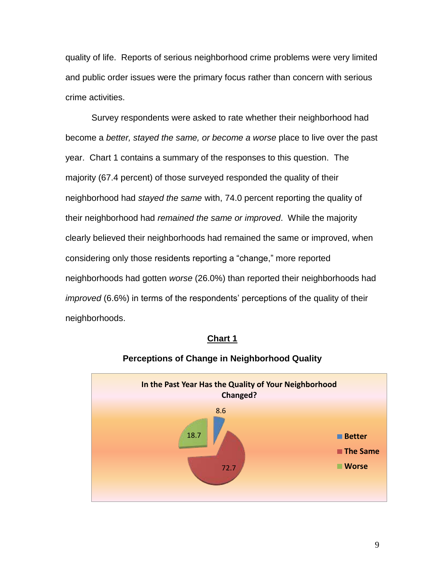quality of life. Reports of serious neighborhood crime problems were very limited and public order issues were the primary focus rather than concern with serious crime activities.

Survey respondents were asked to rate whether their neighborhood had become a *better, stayed the same, or become a worse* place to live over the past year. Chart 1 contains a summary of the responses to this question. The majority (67.4 percent) of those surveyed responded the quality of their neighborhood had *stayed the same* with, 74.0 percent reporting the quality of their neighborhood had *remained the same or improved*. While the majority clearly believed their neighborhoods had remained the same or improved, when considering only those residents reporting a "change," more reported neighborhoods had gotten *worse* (26.0%) than reported their neighborhoods had *improved* (6.6%) in terms of the respondents' perceptions of the quality of their neighborhoods.



#### **Chart 1**

**Perceptions of Change in Neighborhood Quality**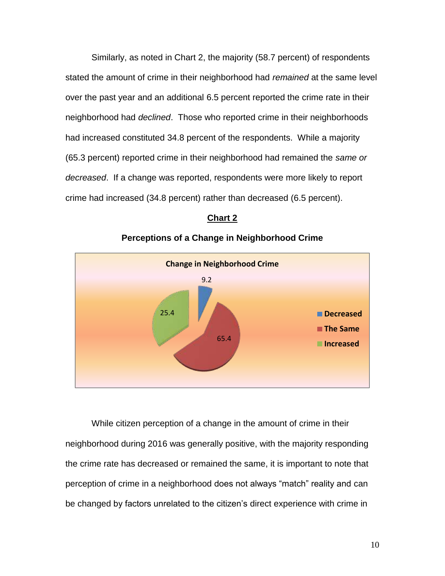Similarly, as noted in Chart 2, the majority (58.7 percent) of respondents stated the amount of crime in their neighborhood had *remained* at the same level over the past year and an additional 6.5 percent reported the crime rate in their neighborhood had *declined*. Those who reported crime in their neighborhoods had increased constituted 34.8 percent of the respondents. While a majority (65.3 percent) reported crime in their neighborhood had remained the *same or decreased*. If a change was reported, respondents were more likely to report crime had increased (34.8 percent) rather than decreased (6.5 percent).



# **Chart 2**

**Perceptions of a Change in Neighborhood Crime**

While citizen perception of a change in the amount of crime in their neighborhood during 2016 was generally positive, with the majority responding the crime rate has decreased or remained the same, it is important to note that perception of crime in a neighborhood does not always "match" reality and can be changed by factors unrelated to the citizen's direct experience with crime in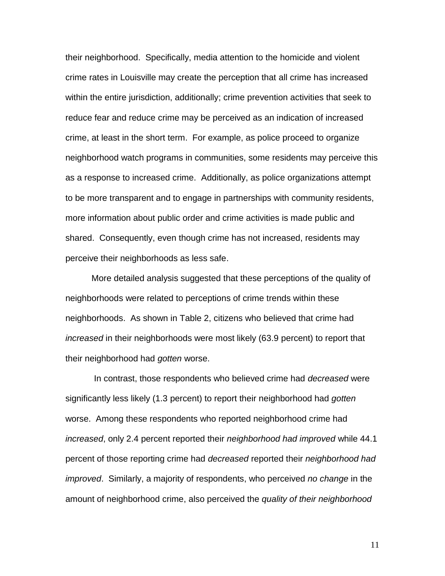their neighborhood. Specifically, media attention to the homicide and violent crime rates in Louisville may create the perception that all crime has increased within the entire jurisdiction, additionally; crime prevention activities that seek to reduce fear and reduce crime may be perceived as an indication of increased crime, at least in the short term. For example, as police proceed to organize neighborhood watch programs in communities, some residents may perceive this as a response to increased crime. Additionally, as police organizations attempt to be more transparent and to engage in partnerships with community residents, more information about public order and crime activities is made public and shared. Consequently, even though crime has not increased, residents may perceive their neighborhoods as less safe.

More detailed analysis suggested that these perceptions of the quality of neighborhoods were related to perceptions of crime trends within these neighborhoods. As shown in Table 2, citizens who believed that crime had *increased* in their neighborhoods were most likely (63.9 percent) to report that their neighborhood had *gotten* worse.

In contrast, those respondents who believed crime had *decreased* were significantly less likely (1.3 percent) to report their neighborhood had *gotten*  worse. Among these respondents who reported neighborhood crime had *increased*, only 2.4 percent reported their *neighborhood had improved* while 44.1 percent of those reporting crime had *decreased* reported their *neighborhood had improved*. Similarly, a majority of respondents, who perceived *no change* in the amount of neighborhood crime, also perceived the *quality of their neighborhood*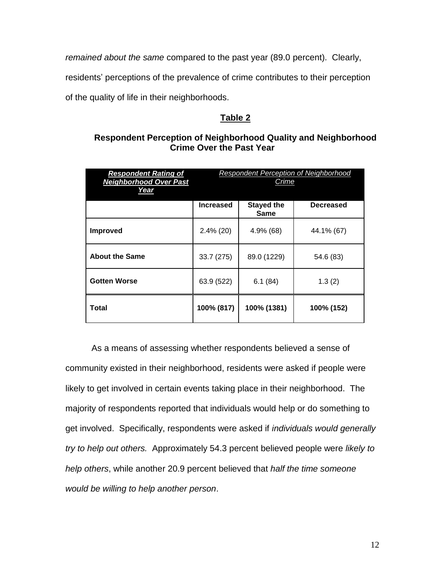*remained about the same* compared to the past year (89.0 percent). Clearly,

residents' perceptions of the prevalence of crime contributes to their perception

of the quality of life in their neighborhoods.

# **Table 2**

# **Respondent Perception of Neighborhood Quality and Neighborhood Crime Over the Past Year**

| <b>Respondent Rating of</b><br><b>Neighborhood Over Past</b><br>Year | <b>Respondent Perception of Neighborhood</b><br>Crime |                           |                  |
|----------------------------------------------------------------------|-------------------------------------------------------|---------------------------|------------------|
|                                                                      | <b>Increased</b>                                      | <b>Stayed the</b><br>Same | <b>Decreased</b> |
| <b>Improved</b>                                                      | $2.4\%$ (20)                                          | 4.9% (68)                 | 44.1% (67)       |
| <b>About the Same</b>                                                | 33.7 (275)                                            | 89.0 (1229)               | 54.6 (83)        |
| <b>Gotten Worse</b>                                                  | 63.9 (522)                                            | 6.1(84)                   | 1.3(2)           |
| Total                                                                | 100% (817)                                            | 100% (1381)               | 100% (152)       |

As a means of assessing whether respondents believed a sense of community existed in their neighborhood, residents were asked if people were likely to get involved in certain events taking place in their neighborhood. The majority of respondents reported that individuals would help or do something to get involved. Specifically, respondents were asked if *individuals would generally try to help out others.* Approximately 54.3 percent believed people were *likely to help others*, while another 20.9 percent believed that *half the time someone would be willing to help another person*.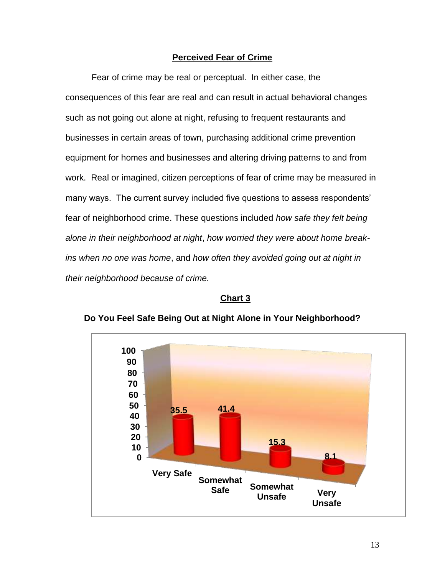# **Perceived Fear of Crime**

Fear of crime may be real or perceptual. In either case, the consequences of this fear are real and can result in actual behavioral changes such as not going out alone at night, refusing to frequent restaurants and businesses in certain areas of town, purchasing additional crime prevention equipment for homes and businesses and altering driving patterns to and from work. Real or imagined, citizen perceptions of fear of crime may be measured in many ways. The current survey included five questions to assess respondents' fear of neighborhood crime. These questions included *how safe they felt being alone in their neighborhood at night*, *how worried they were about home breakins when no one was home*, and *how often they avoided going out at night in their neighborhood because of crime.*

#### **Chart 3**



**Do You Feel Safe Being Out at Night Alone in Your Neighborhood?**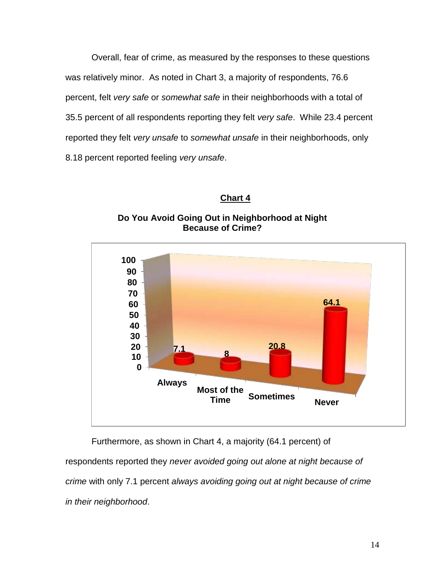Overall, fear of crime, as measured by the responses to these questions was relatively minor. As noted in Chart 3, a majority of respondents, 76.6 percent, felt *very safe* or *somewhat safe* in their neighborhoods with a total of 35.5 percent of all respondents reporting they felt *very safe*. While 23.4 percent reported they felt *very unsafe* to *somewhat unsafe* in their neighborhoods, only 8.18 percent reported feeling *very unsafe*.

# **Chart 4**





Furthermore, as shown in Chart 4, a majority (64.1 percent) of respondents reported they *never avoided going out alone at night because of crime* with only 7.1 percent *always avoiding going out at night because of crime in their neighborhood*.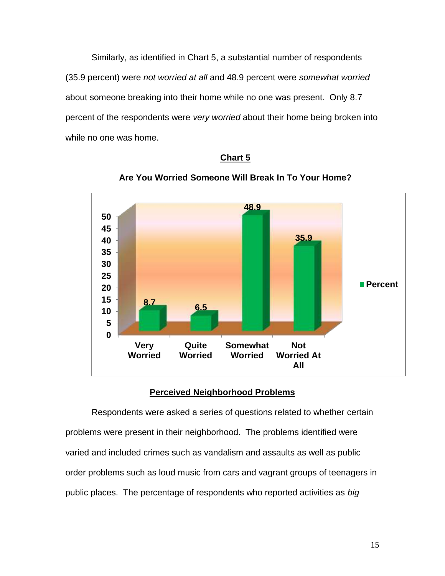Similarly, as identified in Chart 5, a substantial number of respondents (35.9 percent) were *not worried at all* and 48.9 percent were *somewhat worried* about someone breaking into their home while no one was present. Only 8.7 percent of the respondents were *very worried* about their home being broken into while no one was home.





**Are You Worried Someone Will Break In To Your Home?**

# **Perceived Neighborhood Problems**

Respondents were asked a series of questions related to whether certain problems were present in their neighborhood. The problems identified were varied and included crimes such as vandalism and assaults as well as public order problems such as loud music from cars and vagrant groups of teenagers in public places. The percentage of respondents who reported activities as *big*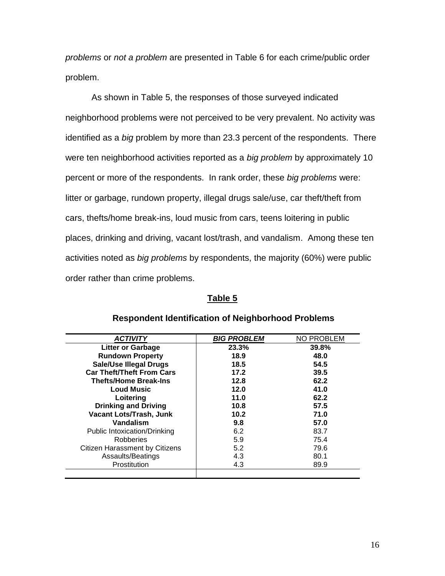*problems* or *not a problem* are presented in Table 6 for each crime/public order problem.

As shown in Table 5, the responses of those surveyed indicated neighborhood problems were not perceived to be very prevalent. No activity was identified as a *big* problem by more than 23.3 percent of the respondents. There were ten neighborhood activities reported as a *big problem* by approximately 10 percent or more of the respondents. In rank order, these *big problems* were: litter or garbage, rundown property, illegal drugs sale/use, car theft/theft from cars, thefts/home break-ins, loud music from cars, teens loitering in public places, drinking and driving, vacant lost/trash, and vandalism. Among these ten activities noted as *big problems* by respondents, the majority (60%) were public order rather than crime problems.

#### **Table 5**

| <b>ACTIVITY</b>                  | <b>BIG PROBLEM</b> | <b>NO PROBLEM</b> |
|----------------------------------|--------------------|-------------------|
| <b>Litter or Garbage</b>         | 23.3%              | 39.8%             |
| <b>Rundown Property</b>          | 18.9               | 48.0              |
| <b>Sale/Use Illegal Drugs</b>    | 18.5               | 54.5              |
| <b>Car Theft/Theft From Cars</b> | 17.2               | 39.5              |
| <b>Thefts/Home Break-Ins</b>     | 12.8               | 62.2              |
| <b>Loud Music</b>                | 12.0               | 41.0              |
| Loitering                        | 11.0               | 62.2              |
| <b>Drinking and Driving</b>      | 10.8               | 57.5              |
| Vacant Lots/Trash, Junk          | 10.2               | 71.0              |
| Vandalism                        | 9.8                | 57.0              |
| Public Intoxication/Drinking     | 6.2                | 83.7              |
| Robberies                        | 5.9                | 75.4              |
| Citizen Harassment by Citizens   | 5.2                | 79.6              |
| Assaults/Beatings                | 4.3                | 80.1              |
| Prostitution                     | 4.3                | 89.9              |
|                                  |                    |                   |

#### **Respondent Identification of Neighborhood Problems**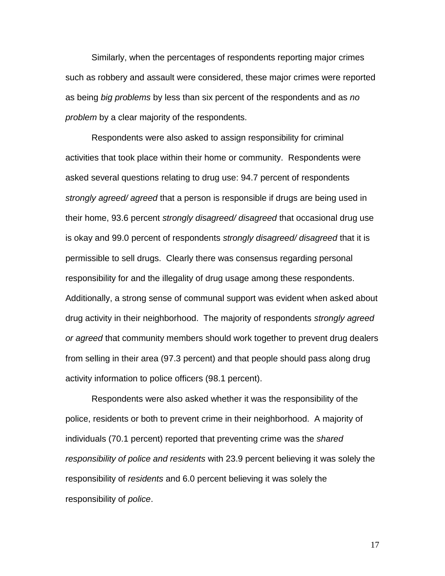Similarly, when the percentages of respondents reporting major crimes such as robbery and assault were considered, these major crimes were reported as being *big problems* by less than six percent of the respondents and as *no problem* by a clear majority of the respondents.

Respondents were also asked to assign responsibility for criminal activities that took place within their home or community. Respondents were asked several questions relating to drug use: 94.7 percent of respondents *strongly agreed/ agreed* that a person is responsible if drugs are being used in their home, 93.6 percent *strongly disagreed/ disagreed* that occasional drug use is okay and 99.0 percent of respondents *strongly disagreed/ disagreed* that it is permissible to sell drugs. Clearly there was consensus regarding personal responsibility for and the illegality of drug usage among these respondents. Additionally, a strong sense of communal support was evident when asked about drug activity in their neighborhood. The majority of respondents *strongly agreed or agreed* that community members should work together to prevent drug dealers from selling in their area (97.3 percent) and that people should pass along drug activity information to police officers (98.1 percent).

Respondents were also asked whether it was the responsibility of the police, residents or both to prevent crime in their neighborhood. A majority of individuals (70.1 percent) reported that preventing crime was the *shared responsibility of police and residents* with 23.9 percent believing it was solely the responsibility of *residents* and 6.0 percent believing it was solely the responsibility of *police*.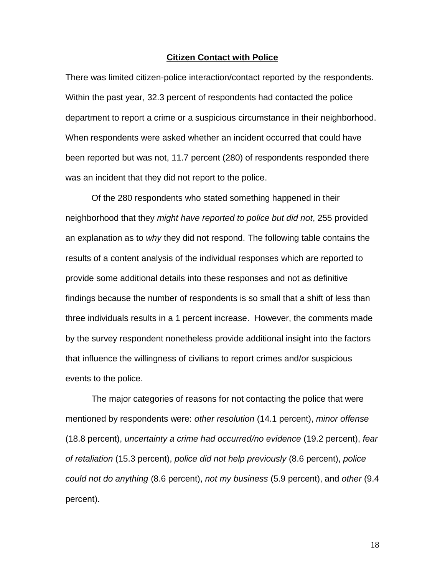#### **Citizen Contact with Police**

There was limited citizen-police interaction/contact reported by the respondents. Within the past year, 32.3 percent of respondents had contacted the police department to report a crime or a suspicious circumstance in their neighborhood. When respondents were asked whether an incident occurred that could have been reported but was not, 11.7 percent (280) of respondents responded there was an incident that they did not report to the police.

Of the 280 respondents who stated something happened in their neighborhood that they *might have reported to police but did not*, 255 provided an explanation as to *why* they did not respond. The following table contains the results of a content analysis of the individual responses which are reported to provide some additional details into these responses and not as definitive findings because the number of respondents is so small that a shift of less than three individuals results in a 1 percent increase. However, the comments made by the survey respondent nonetheless provide additional insight into the factors that influence the willingness of civilians to report crimes and/or suspicious events to the police.

The major categories of reasons for not contacting the police that were mentioned by respondents were: *other resolution* (14.1 percent), *minor offense* (18.8 percent), *uncertainty a crime had occurred/no evidence* (19.2 percent), *fear of retaliation* (15.3 percent), *police did not help previously* (8.6 percent), *police could not do anything* (8.6 percent), *not my business* (5.9 percent), and *other* (9.4 percent).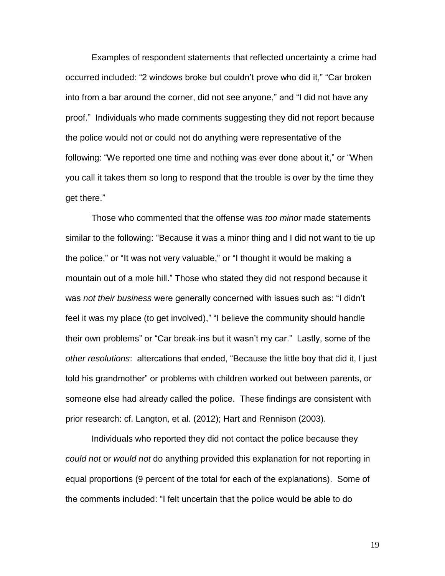Examples of respondent statements that reflected uncertainty a crime had occurred included: "2 windows broke but couldn't prove who did it," "Car broken into from a bar around the corner, did not see anyone," and "I did not have any proof." Individuals who made comments suggesting they did not report because the police would not or could not do anything were representative of the following: "We reported one time and nothing was ever done about it," or "When you call it takes them so long to respond that the trouble is over by the time they get there."

Those who commented that the offense was *too minor* made statements similar to the following: "Because it was a minor thing and I did not want to tie up the police," or "It was not very valuable," or "I thought it would be making a mountain out of a mole hill." Those who stated they did not respond because it was *not their business* were generally concerned with issues such as: "I didn't feel it was my place (to get involved)," "I believe the community should handle their own problems" or "Car break-ins but it wasn't my car." Lastly, some of the *other resolutions*: altercations that ended, "Because the little boy that did it, I just told his grandmother" or problems with children worked out between parents, or someone else had already called the police. These findings are consistent with prior research: cf. Langton, et al. (2012); Hart and Rennison (2003).

Individuals who reported they did not contact the police because they *could not* or *would not* do anything provided this explanation for not reporting in equal proportions (9 percent of the total for each of the explanations). Some of the comments included: "I felt uncertain that the police would be able to do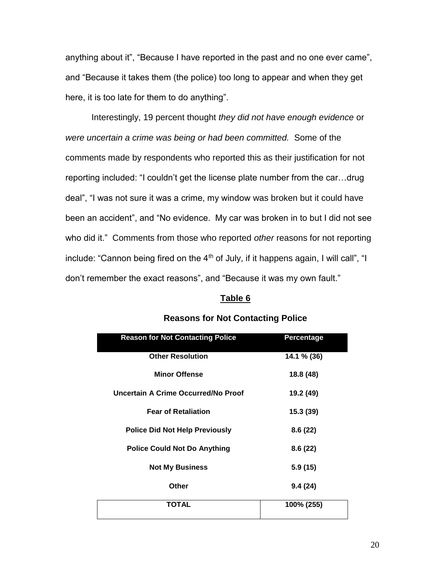anything about it", "Because I have reported in the past and no one ever came", and "Because it takes them (the police) too long to appear and when they get here, it is too late for them to do anything".

Interestingly, 19 percent thought *they did not have enough evidence* or *were uncertain a crime was being or had been committed.* Some of the comments made by respondents who reported this as their justification for not reporting included: "I couldn't get the license plate number from the car…drug deal", "I was not sure it was a crime, my window was broken but it could have been an accident", and "No evidence. My car was broken in to but I did not see who did it." Comments from those who reported *other* reasons for not reporting include: "Cannon being fired on the  $4<sup>th</sup>$  of July, if it happens again, I will call", "I don't remember the exact reasons", and "Because it was my own fault."

#### **Table 6**

| <b>Reason for Not Contacting Police</b> | Percentage  |
|-----------------------------------------|-------------|
| <b>Other Resolution</b>                 | 14.1 % (36) |
| <b>Minor Offense</b>                    | 18.8 (48)   |
| Uncertain A Crime Occurred/No Proof     | 19.2 (49)   |
| <b>Fear of Retaliation</b>              | 15.3 (39)   |
| <b>Police Did Not Help Previously</b>   | 8.6(22)     |
| <b>Police Could Not Do Anything</b>     | 8.6(22)     |
| <b>Not My Business</b>                  | 5.9(15)     |
| <b>Other</b>                            | 9.4(24)     |
| <b>TOTAL</b>                            | 100% (255)  |
|                                         |             |

#### **Reasons for Not Contacting Police**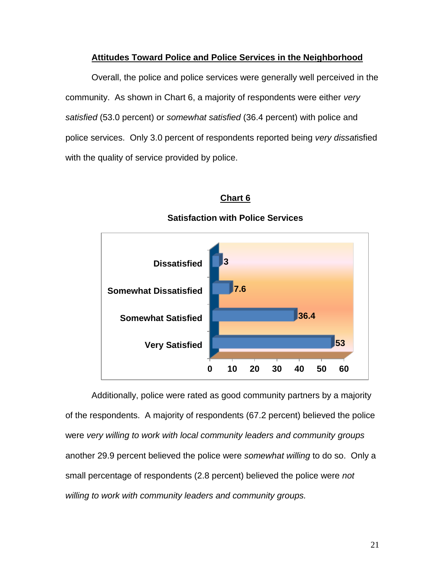#### **Attitudes Toward Police and Police Services in the Neighborhood**

Overall, the police and police services were generally well perceived in the community. As shown in Chart 6, a majority of respondents were either *very satisfied* (53.0 percent) or *somewhat satisfied* (36.4 percent) with police and police services. Only 3.0 percent of respondents reported being *very dissat*isfied with the quality of service provided by police.

# **Chart 6**



#### **Satisfaction with Police Services**

Additionally, police were rated as good community partners by a majority of the respondents. A majority of respondents (67.2 percent) believed the police were *very willing to work with local community leaders and community groups* another 29.9 percent believed the police were *somewhat willing* to do so. Only a small percentage of respondents (2.8 percent) believed the police were *not willing to work with community leaders and community groups.*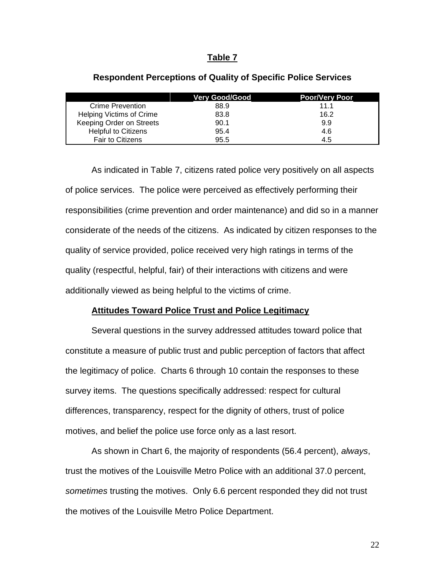#### **Table 7**

|                                 | <b>Verv Good/Good</b> | <b>Poor/Very Poor</b> |
|---------------------------------|-----------------------|-----------------------|
| <b>Crime Prevention</b>         | 88.9                  | 11.1                  |
| <b>Helping Victims of Crime</b> | 83.8                  | 16.2                  |
| Keeping Order on Streets        | 90.1                  | 9.9                   |
| <b>Helpful to Citizens</b>      | 95.4                  | 4.6                   |
| <b>Fair to Citizens</b>         | 95.5                  | 4.5                   |

#### **Respondent Perceptions of Quality of Specific Police Services**

As indicated in Table 7, citizens rated police very positively on all aspects of police services. The police were perceived as effectively performing their responsibilities (crime prevention and order maintenance) and did so in a manner considerate of the needs of the citizens. As indicated by citizen responses to the quality of service provided, police received very high ratings in terms of the quality (respectful, helpful, fair) of their interactions with citizens and were additionally viewed as being helpful to the victims of crime.

#### **Attitudes Toward Police Trust and Police Legitimacy**

Several questions in the survey addressed attitudes toward police that constitute a measure of public trust and public perception of factors that affect the legitimacy of police. Charts 6 through 10 contain the responses to these survey items. The questions specifically addressed: respect for cultural differences, transparency, respect for the dignity of others, trust of police motives, and belief the police use force only as a last resort.

As shown in Chart 6, the majority of respondents (56.4 percent), *always*, trust the motives of the Louisville Metro Police with an additional 37.0 percent, *sometimes* trusting the motives. Only 6.6 percent responded they did not trust the motives of the Louisville Metro Police Department.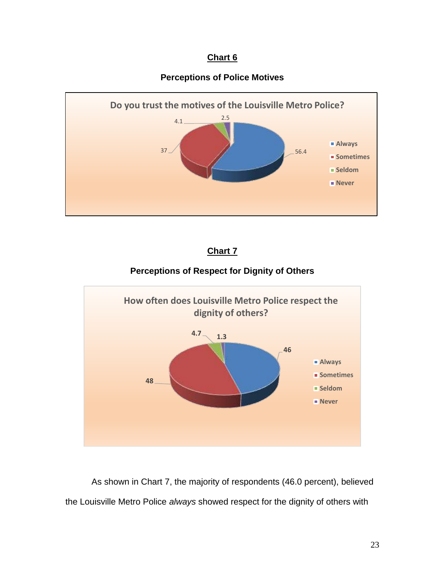# **Chart 6**

# **Perceptions of Police Motives**



# **Chart 7**

# **Perceptions of Respect for Dignity of Others**



As shown in Chart 7, the majority of respondents (46.0 percent), believed the Louisville Metro Police *always* showed respect for the dignity of others with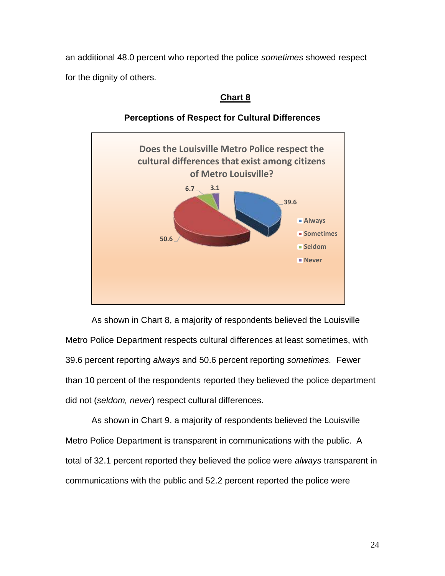an additional 48.0 percent who reported the police *sometimes* showed respect for the dignity of others.

# **Chart 8**



# **Perceptions of Respect for Cultural Differences**

As shown in Chart 8, a majority of respondents believed the Louisville Metro Police Department respects cultural differences at least sometimes, with 39.6 percent reporting *always* and 50.6 percent reporting *sometimes.* Fewer than 10 percent of the respondents reported they believed the police department did not (*seldom, never*) respect cultural differences.

As shown in Chart 9, a majority of respondents believed the Louisville Metro Police Department is transparent in communications with the public. A total of 32.1 percent reported they believed the police were *always* transparent in communications with the public and 52.2 percent reported the police were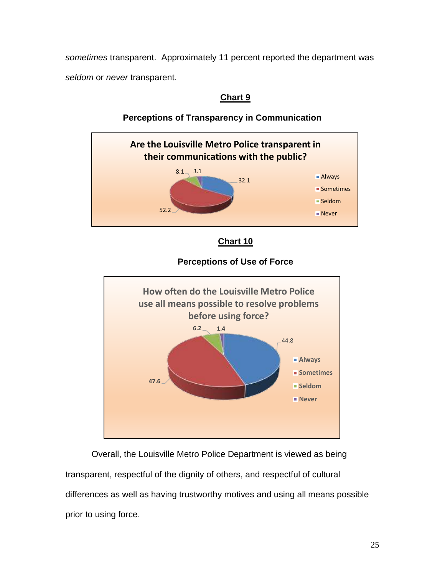*sometimes* transparent. Approximately 11 percent reported the department was *seldom* or *never* transparent.

# **Chart 9**



# **Perceptions of Transparency in Communication**



# **Perceptions of Use of Force**



Overall, the Louisville Metro Police Department is viewed as being transparent, respectful of the dignity of others, and respectful of cultural differences as well as having trustworthy motives and using all means possible prior to using force.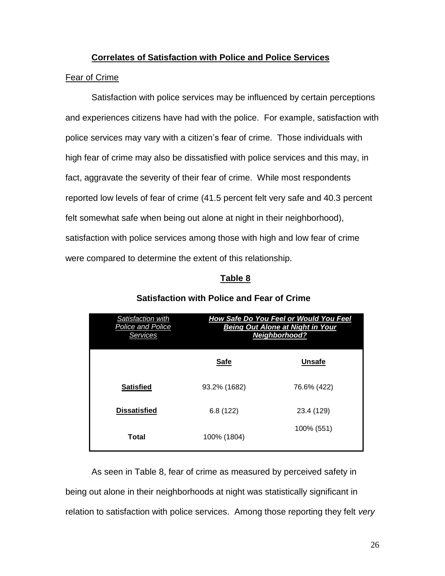# **Correlates of Satisfaction with Police and Police Services**

# Fear of Crime

Satisfaction with police services may be influenced by certain perceptions and experiences citizens have had with the police. For example, satisfaction with police services may vary with a citizen's fear of crime. Those individuals with high fear of crime may also be dissatisfied with police services and this may, in fact, aggravate the severity of their fear of crime. While most respondents reported low levels of fear of crime (41.5 percent felt very safe and 40.3 percent felt somewhat safe when being out alone at night in their neighborhood), satisfaction with police services among those with high and low fear of crime were compared to determine the extent of this relationship.

# **Table 8**

| Satisfaction with<br>Police and Police<br>Services | How Safe Do You Feel or Would You Feel<br><b>Being Out Alone at Night in Your</b><br><b>Neighborhood?</b> |               |  |
|----------------------------------------------------|-----------------------------------------------------------------------------------------------------------|---------------|--|
|                                                    | <b>Safe</b>                                                                                               | <b>Unsafe</b> |  |
| <b>Satisfied</b>                                   | 93.2% (1682)                                                                                              | 76.6% (422)   |  |
| <b>Dissatisfied</b>                                | 6.8(122)                                                                                                  | 23.4 (129)    |  |
| Total                                              | 100% (1804)                                                                                               | 100% (551)    |  |

# **Satisfaction with Police and Fear of Crime**

As seen in Table 8, fear of crime as measured by perceived safety in being out alone in their neighborhoods at night was statistically significant in relation to satisfaction with police services. Among those reporting they felt *very*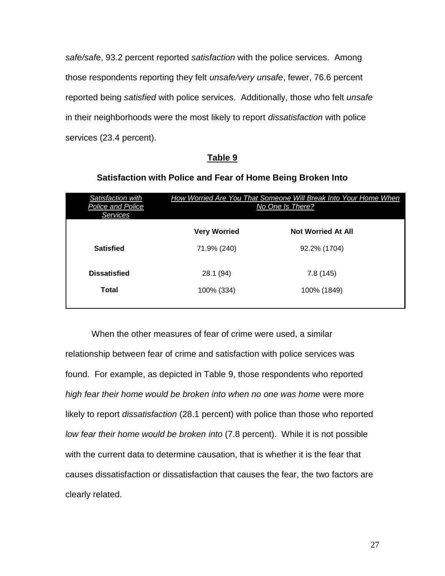*safe/saf*e, 93.2 percent reported *satisfaction* with the police services. Among those respondents reporting they felt *unsafe/very unsafe*, fewer, 76.6 percent reported being *satisfied* with police services. Additionally, those who felt *unsafe* in their neighborhoods were the most likely to report *dissatisfaction* with police services (23.4 percent).

#### **Table 9**

# **Satisfaction with Police and Fear of Home Being Broken Into**

| Satisfaction with<br>Police and Police<br>Services | How Worried Are You That Someone Will Break Into Your Home When<br>No One Is There? |                           |  |
|----------------------------------------------------|-------------------------------------------------------------------------------------|---------------------------|--|
|                                                    | <b>Very Worried</b>                                                                 | <b>Not Worried At All</b> |  |
| <b>Satisfied</b>                                   | 71.9% (240)                                                                         | 92.2% (1704)              |  |
| <b>Dissatisfied</b>                                | 28.1 (94)                                                                           | 7.8(145)                  |  |
| Total                                              | 100% (334)                                                                          | 100% (1849)               |  |
|                                                    |                                                                                     |                           |  |

When the other measures of fear of crime were used, a similar relationship between fear of crime and satisfaction with police services was found. For example, as depicted in Table 9, those respondents who reported *high fear their home would be broken into when no one was home* were more likely to report *dissatisfaction* (28.1 percent) with police than those who reported *low fear their home would be broken into* (7.8 percent). While it is not possible with the current data to determine causation, that is whether it is the fear that causes dissatisfaction or dissatisfaction that causes the fear, the two factors are clearly related.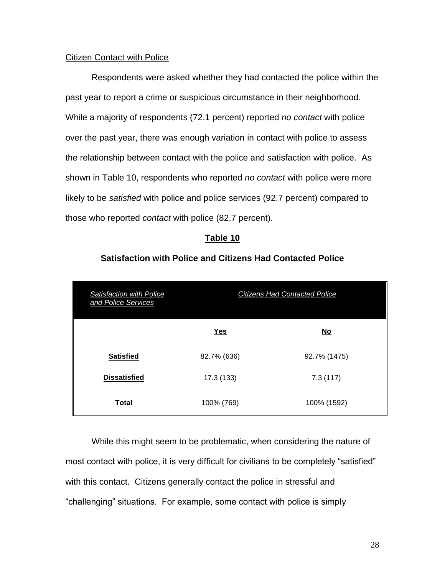#### **Citizen Contact with Police**

Respondents were asked whether they had contacted the police within the past year to report a crime or suspicious circumstance in their neighborhood. While a majority of respondents (72.1 percent) reported *no contact* with police over the past year, there was enough variation in contact with police to assess the relationship between contact with the police and satisfaction with police.As shown in Table 10, respondents who reported *no contact* with police were more likely to be *satisfied* with police and police services (92.7 percent) compared to those who reported *contact* with police (82.7 percent).

#### **Table 10**

#### **Satisfaction with Police and Citizens Had Contacted Police**

| <b>Satisfaction with Police</b><br>and Police Services | <b>Citizens Had Contacted Police</b> |                           |
|--------------------------------------------------------|--------------------------------------|---------------------------|
|                                                        | $Yes$                                | $\underline{\mathsf{No}}$ |
| <b>Satisfied</b>                                       | 82.7% (636)                          | 92.7% (1475)              |
| <b>Dissatisfied</b>                                    | 17.3 (133)                           | 7.3(117)                  |
| <b>Total</b>                                           | 100% (769)                           | 100% (1592)               |

While this might seem to be problematic, when considering the nature of most contact with police, it is very difficult for civilians to be completely "satisfied" with this contact. Citizens generally contact the police in stressful and "challenging" situations. For example, some contact with police is simply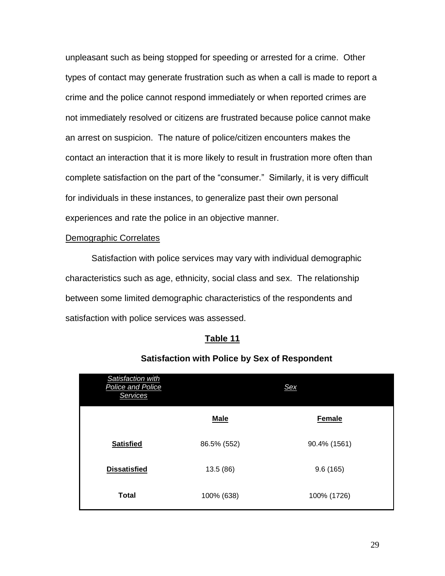unpleasant such as being stopped for speeding or arrested for a crime. Other types of contact may generate frustration such as when a call is made to report a crime and the police cannot respond immediately or when reported crimes are not immediately resolved or citizens are frustrated because police cannot make an arrest on suspicion. The nature of police/citizen encounters makes the contact an interaction that it is more likely to result in frustration more often than complete satisfaction on the part of the "consumer." Similarly, it is very difficult for individuals in these instances, to generalize past their own personal experiences and rate the police in an objective manner.

#### Demographic Correlates

Satisfaction with police services may vary with individual demographic characteristics such as age, ethnicity, social class and sex. The relationship between some limited demographic characteristics of the respondents and satisfaction with police services was assessed.

#### **Table 11**

| Satisfaction with<br><b>Police and Police</b><br>Services |             | <b>Sex</b>    |
|-----------------------------------------------------------|-------------|---------------|
|                                                           | <b>Male</b> | <b>Female</b> |
| <b>Satisfied</b>                                          | 86.5% (552) | 90.4% (1561)  |
| <b>Dissatisfied</b>                                       | 13.5 (86)   | 9.6(165)      |
| <b>Total</b>                                              | 100% (638)  | 100% (1726)   |

#### **Satisfaction with Police by Sex of Respondent**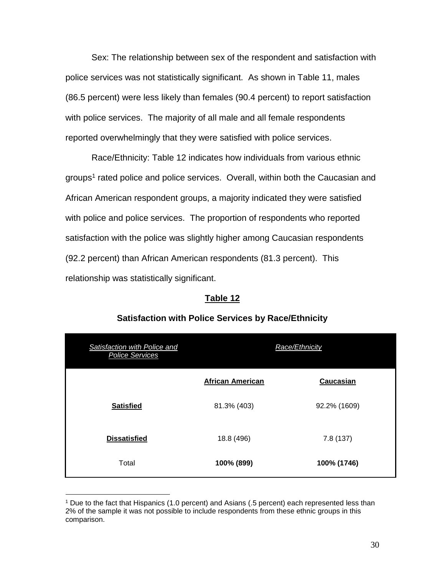Sex: The relationship between sex of the respondent and satisfaction with police services was not statistically significant. As shown in Table 11, males (86.5 percent) were less likely than females (90.4 percent) to report satisfaction with police services. The majority of all male and all female respondents reported overwhelmingly that they were satisfied with police services.

Race/Ethnicity: Table 12 indicates how individuals from various ethnic groups<sup>1</sup> rated police and police services. Overall, within both the Caucasian and African American respondent groups, a majority indicated they were satisfied with police and police services. The proportion of respondents who reported satisfaction with the police was slightly higher among Caucasian respondents (92.2 percent) than African American respondents (81.3 percent). This relationship was statistically significant.

#### **Table 12**

| Satisfaction with Police and<br><b>Police Services</b> | Race/Ethnicity          |              |
|--------------------------------------------------------|-------------------------|--------------|
|                                                        | <b>African American</b> | Caucasian    |
| <b>Satisfied</b>                                       | 81.3% (403)             | 92.2% (1609) |
| <b>Dissatisfied</b>                                    | 18.8 (496)              | 7.8 (137)    |
| Total                                                  | 100% (899)              | 100% (1746)  |

#### **Satisfaction with Police Services by Race/Ethnicity**

 $\overline{a}$ 

<sup>1</sup> Due to the fact that Hispanics (1.0 percent) and Asians (.5 percent) each represented less than 2% of the sample it was not possible to include respondents from these ethnic groups in this comparison.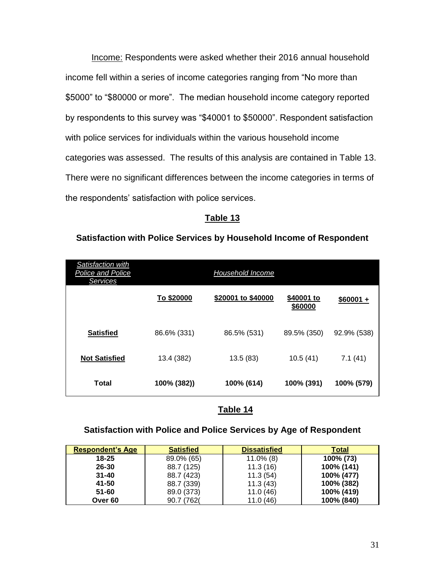Income: Respondents were asked whether their 2016 annual household income fell within a series of income categories ranging from "No more than \$5000" to "\$80000 or more". The median household income category reported by respondents to this survey was "\$40001 to \$50000". Respondent satisfaction with police services for individuals within the various household income categories was assessed. The results of this analysis are contained in Table 13. There were no significant differences between the income categories in terms of the respondents' satisfaction with police services.

#### **Table 13**

#### **Satisfaction with Police Services by Household Income of Respondent**

| Satisfaction with<br>Police and Police<br><b>Services</b> | Household Income |                    |                       |             |
|-----------------------------------------------------------|------------------|--------------------|-----------------------|-------------|
|                                                           | To \$20000       | \$20001 to \$40000 | \$40001 to<br>\$60000 | $$60001 +$  |
| <b>Satisfied</b>                                          | 86.6% (331)      | 86.5% (531)        | 89.5% (350)           | 92.9% (538) |
| <b>Not Satisfied</b>                                      | 13.4 (382)       | 13.5(83)           | 10.5(41)              | 7.1(41)     |
| <b>Total</b>                                              | 100% (382))      | 100% (614)         | 100% (391)            | 100% (579)  |

# **Table 14**

#### **Satisfaction with Police and Police Services by Age of Respondent**

| <b>Respondent's Age</b> | <b>Satisfied</b> | <b>Dissatisfied</b> | Total      |
|-------------------------|------------------|---------------------|------------|
| $18 - 25$               | 89.0% (65)       | $11.0\%$ (8)        | 100% (73)  |
| $26 - 30$               | 88.7 (125)       | 11.3(16)            | 100% (141) |
| $31 - 40$               | 88.7 (423)       | 11.3(54)            | 100% (477) |
| 41-50                   | 88.7 (339)       | 11.3(43)            | 100% (382) |
| 51-60                   | 89.0 (373)       | 11.0(46)            | 100% (419) |
| Over <sub>60</sub>      | 90.7 (762)       | 11.0(46)            | 100% (840) |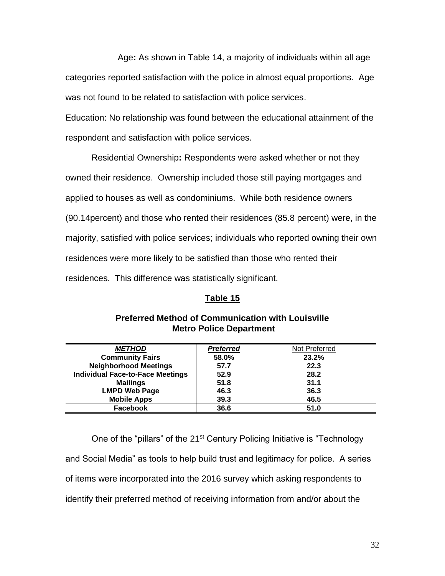Age**:** As shown in Table 14, a majority of individuals within all age categories reported satisfaction with the police in almost equal proportions. Age was not found to be related to satisfaction with police services.

Education: No relationship was found between the educational attainment of the respondent and satisfaction with police services.

Residential Ownership**:** Respondents were asked whether or not they owned their residence. Ownership included those still paying mortgages and applied to houses as well as condominiums. While both residence owners (90.14percent) and those who rented their residences (85.8 percent) were, in the majority, satisfied with police services; individuals who reported owning their own residences were more likely to be satisfied than those who rented their residences. This difference was statistically significant.

# **Table 15**

| <b>METHOD</b>                           | <b>Preferred</b> | Not Preferred |
|-----------------------------------------|------------------|---------------|
| <b>Community Fairs</b>                  | 58.0%            | 23.2%         |
| <b>Neighborhood Meetings</b>            | 57.7             | 22.3          |
| <b>Individual Face-to-Face Meetings</b> | 52.9             | 28.2          |
| <b>Mailings</b>                         | 51.8             | 31.1          |
| <b>LMPD Web Page</b>                    | 46.3             | 36.3          |
| <b>Mobile Apps</b>                      | 39.3             | 46.5          |
| <b>Facebook</b>                         | 36.6             | 51.0          |

#### **Preferred Method of Communication with Louisville Metro Police Department**

One of the "pillars" of the 21<sup>st</sup> Century Policing Initiative is "Technology and Social Media" as tools to help build trust and legitimacy for police. A series of items were incorporated into the 2016 survey which asking respondents to identify their preferred method of receiving information from and/or about the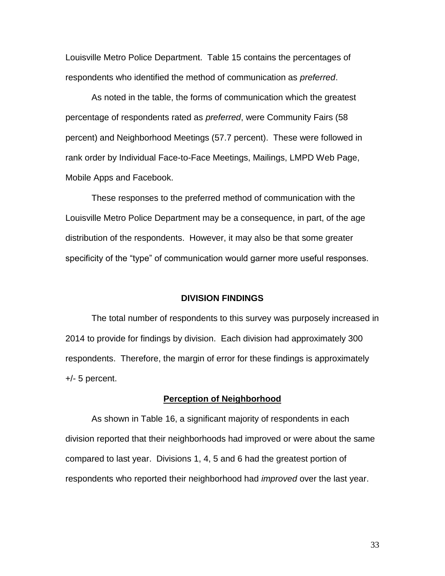Louisville Metro Police Department. Table 15 contains the percentages of respondents who identified the method of communication as *preferred*.

As noted in the table, the forms of communication which the greatest percentage of respondents rated as *preferred*, were Community Fairs (58 percent) and Neighborhood Meetings (57.7 percent). These were followed in rank order by Individual Face-to-Face Meetings, Mailings, LMPD Web Page, Mobile Apps and Facebook.

These responses to the preferred method of communication with the Louisville Metro Police Department may be a consequence, in part, of the age distribution of the respondents. However, it may also be that some greater specificity of the "type" of communication would garner more useful responses.

#### **DIVISION FINDINGS**

The total number of respondents to this survey was purposely increased in 2014 to provide for findings by division. Each division had approximately 300 respondents. Therefore, the margin of error for these findings is approximately +/- 5 percent.

#### **Perception of Neighborhood**

As shown in Table 16, a significant majority of respondents in each division reported that their neighborhoods had improved or were about the same compared to last year. Divisions 1, 4, 5 and 6 had the greatest portion of respondents who reported their neighborhood had *improved* over the last year.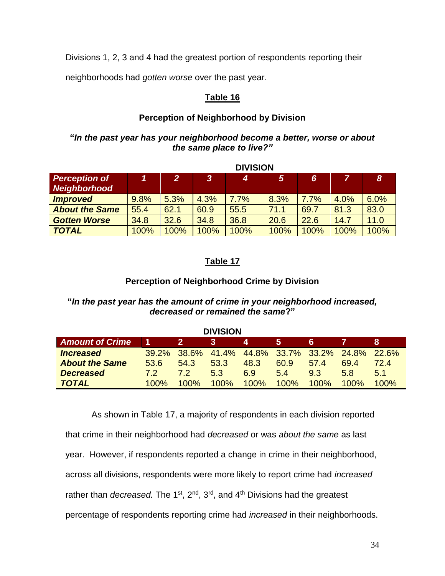Divisions 1, 2, 3 and 4 had the greatest portion of respondents reporting their

neighborhoods had *gotten worse* over the past year.

# **Table 16**

# **Perception of Neighborhood by Division**

# **"***In the past year has your neighborhood become a better, worse or about the same place to live?"*

|                                      |           | <b>DIVISION</b> |      |      |      |      |      |                  |  |  |
|--------------------------------------|-----------|-----------------|------|------|------|------|------|------------------|--|--|
| <b>Perception of</b><br>Neighborhood | <i>AT</i> | 27              | 3    | 4    | 5    | 6    | 7    | $\boldsymbol{8}$ |  |  |
| <b>Improved</b>                      | 9.8%      | 5.3%            | 4.3% | 7.7% | 8.3% | 7.7% | 4.0% | 6.0%             |  |  |
| <b>About the Same</b>                | 55.4      | 62.1            | 60.9 | 55.5 | 71.1 | 69.7 | 81.3 | 83.0             |  |  |
| <b>Gotten Worse</b>                  | 34.8      | 32.6            | 34.8 | 36.8 | 20.6 | 22.6 | 14.7 | 11.0             |  |  |
| <b>TOTAL</b>                         | 100%      | 100%            | 100% | 100% | 100% | 100% | 100% | 100%             |  |  |

# **Table 17**

# **Perception of Neighborhood Crime by Division**

# **"***In the past year has the amount of crime in your neighborhood increased, decreased or remained the same***?"**

**DIVISION**

| <u>DIVIUIVI</u>        |         |         |         |                                                 |         |      |         |      |  |  |  |
|------------------------|---------|---------|---------|-------------------------------------------------|---------|------|---------|------|--|--|--|
| <b>Amount of Crime</b> |         | -2.     | 3       | 4                                               | יכי     | Б.   |         |      |  |  |  |
| <b>Increased</b>       |         |         |         | 39.2% 38.6% 41.4% 44.8% 33.7% 33.2% 24.8% 22.6% |         |      |         |      |  |  |  |
| <b>About the Same</b>  | 53.6    | 54.3    | 53.3    | 48.3                                            | 60.9    | 57.4 | 69.4    | 72 4 |  |  |  |
| <b>Decreased</b>       | 72      | 72      | 53      | 6.9                                             | 54      | 9.3  | 5.8     | 51   |  |  |  |
| <b>TOTAL</b>           | $100\%$ | $100\%$ | $100\%$ | 100%                                            | $100\%$ | 100% | $100\%$ | 100% |  |  |  |

As shown in Table 17, a majority of respondents in each division reported that crime in their neighborhood had *decreased* or was *about the same* as last year. However, if respondents reported a change in crime in their neighborhood, across all divisions, respondents were more likely to report crime had *increased*  rather than *decreased.* The 1<sup>st</sup>, 2<sup>nd</sup>, 3<sup>rd</sup>, and 4<sup>th</sup> Divisions had the greatest percentage of respondents reporting crime had *increased* in their neighborhoods.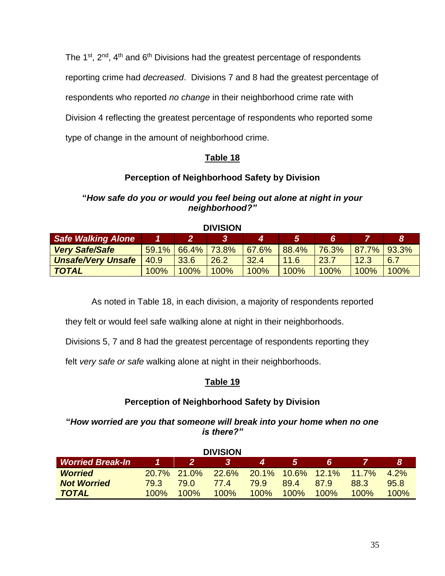The 1<sup>st</sup>, 2<sup>nd</sup>, 4<sup>th</sup> and 6<sup>th</sup> Divisions had the greatest percentage of respondents reporting crime had *decreased*. Divisions 7 and 8 had the greatest percentage of respondents who reported *no change* in their neighborhood crime rate with Division 4 reflecting the greatest percentage of respondents who reported some type of change in the amount of neighborhood crime.

# **Table 18**

# **Perception of Neighborhood Safety by Division**

# **"***How safe do you or would you feel being out alone at night in your neighborhood?"*

| --------                  |      |                      |      |       |       |       |                       |      |  |  |  |
|---------------------------|------|----------------------|------|-------|-------|-------|-----------------------|------|--|--|--|
| <b>Safe Walking Alone</b> |      |                      |      |       | 5     | 6     |                       |      |  |  |  |
| <b>Very Safe/Safe</b>     |      | $59.1\%$ 66.4% 73.8% |      | 67.6% | 88.4% | 76.3% | $\vert$ 87.7%   93.3% |      |  |  |  |
| <b>Unsafe/Very Unsafe</b> | 40.9 | 33.6                 | 26.2 | 32.4  | 11.6  | 23.7  | 12.3                  | 6.7  |  |  |  |
| <b>TOTAL</b>              | 100% | 100%                 | 100% | 100%  | 100%  | 100%  | 100%                  | 100% |  |  |  |

#### **DIVISION**

As noted in Table 18, in each division, a majority of respondents reported

they felt or would feel safe walking alone at night in their neighborhoods.

Divisions 5, 7 and 8 had the greatest percentage of respondents reporting they

felt *very safe or safe* walking alone at night in their neighborhoods.

# **Table 19**

# **Perception of Neighborhood Safety by Division**

**"***How worried are you that someone will break into your home when no one is there?"*

| <b>DIVISION</b>         |      |             |              |      |             |          |         |         |  |  |
|-------------------------|------|-------------|--------------|------|-------------|----------|---------|---------|--|--|
| <b>Worried Break-In</b> |      | 2           |              |      | 5           | 6        |         | 8       |  |  |
| <b>Worried</b>          |      | 20.7% 21.0% | <b>22.6%</b> |      | 20.1% 10.6% | $12.1\%$ | 11.7%   | $4.2\%$ |  |  |
| <b>Not Worried</b>      | 79.3 | 79.O        | 77.4         | 79.9 | 89.4        | 879      | 88.3    | 95.8    |  |  |
| <b>TOTAL</b>            | 100% | $100\%$     | 100%         | 100% | $100\%$     | 100%     | $100\%$ | 100%    |  |  |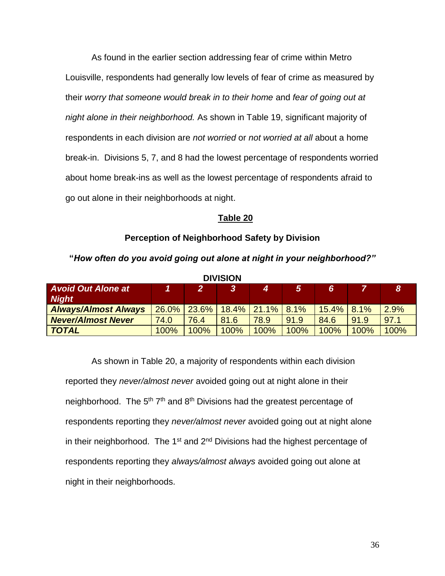As found in the earlier section addressing fear of crime within Metro Louisville, respondents had generally low levels of fear of crime as measured by their *worry that someone would break in to their home* and *fear of going out at night alone in their neighborhood.* As shown in Table 19, significant majority of respondents in each division are *not worried* or *not worried at all* about a home break-in. Divisions 5, 7, and 8 had the lowest percentage of respondents worried about home break-ins as well as the lowest percentage of respondents afraid to go out alone in their neighborhoods at night.

#### **Table 20**

#### **Perception of Neighborhood Safety by Division**

| <b>DIVISION</b>             |          |       |              |                        |      |                |      |      |  |  |  |
|-----------------------------|----------|-------|--------------|------------------------|------|----------------|------|------|--|--|--|
| <b>Avoid Out Alone at</b>   |          |       | $\mathbf{3}$ | 4                      | 5    | $\overline{6}$ |      | 8    |  |  |  |
| <b>Night</b>                |          |       |              |                        |      |                |      |      |  |  |  |
| <b>Always/Almost Always</b> | $26.0\%$ | 23.6% |              | $18.4\%$ 21.1% $8.1\%$ |      | 15.4%          | 8.1% | 2.9% |  |  |  |
| <b>Never/Almost Never</b>   | 74.0     | 76.4  | 81.6         | 78.9                   | 91.9 | 84.6           | 91.9 | 97.1 |  |  |  |
| <b>TOTAL</b>                | 100%     | 100%  | 100%         | 100%                   | 100% | 100%           | 100% | 100% |  |  |  |

**"***How often do you avoid going out alone at night in your neighborhood?"*

As shown in Table 20, a majority of respondents within each division reported they *never/almost never* avoided going out at night alone in their neighborhood. The 5<sup>th</sup> 7<sup>th</sup> and 8<sup>th</sup> Divisions had the greatest percentage of respondents reporting they *never/almost never* avoided going out at night alone in their neighborhood. The 1<sup>st</sup> and  $2<sup>nd</sup>$  Divisions had the highest percentage of respondents reporting they *always/almost always* avoided going out alone at night in their neighborhoods.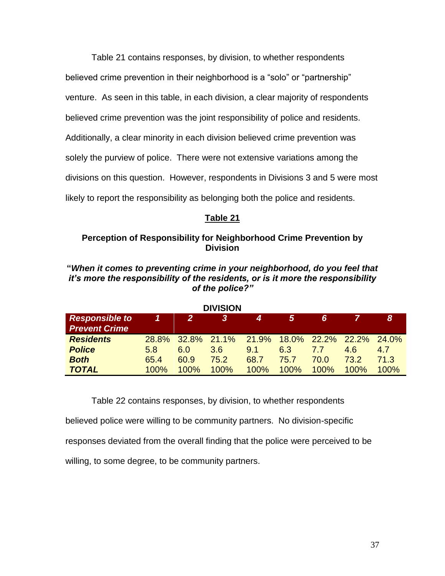Table 21 contains responses, by division, to whether respondents believed crime prevention in their neighborhood is a "solo" or "partnership" venture. As seen in this table, in each division, a clear majority of respondents believed crime prevention was the joint responsibility of police and residents. Additionally, a clear minority in each division believed crime prevention was solely the purview of police. There were not extensive variations among the divisions on this question. However, respondents in Divisions 3 and 5 were most likely to report the responsibility as belonging both the police and residents.

# **Table 21**

# **Perception of Responsibility for Neighborhood Crime Prevention by Division**

**"***When it comes to preventing crime in your neighborhood, do you feel that it's more the responsibility of the residents, or is it more the responsibility of the police?"*

| <b>DIVISION</b>                               |              |             |      |       |         |       |         |              |  |  |
|-----------------------------------------------|--------------|-------------|------|-------|---------|-------|---------|--------------|--|--|
| <b>Responsible to</b><br><b>Prevent Crime</b> | И            | 2           | 3    |       | 5       | 6     |         | 81           |  |  |
| <b>Residents</b>                              | <b>28.8%</b> | 32.8% 21.1% |      | 21.9% | 18.0%   | 22.2% | 22.2%   | <b>24.0%</b> |  |  |
| <b>Police</b>                                 | 5.8          | 6.0         | 3.6  | 9.1   | 6.3     | 77    | 4.6     | 4.7          |  |  |
| <b>Both</b>                                   | 65.4         | 60.9        | 75.2 | 68.7  | 75.7    | 70.0  | 73.2    | 71.3         |  |  |
| <b>TOTAL</b>                                  | 100%         | 100%        | 100% | 100%  | $100\%$ | 100%  | $100\%$ | 100%         |  |  |

Table 22 contains responses, by division, to whether respondents believed police were willing to be community partners. No division-specific responses deviated from the overall finding that the police were perceived to be willing, to some degree, to be community partners.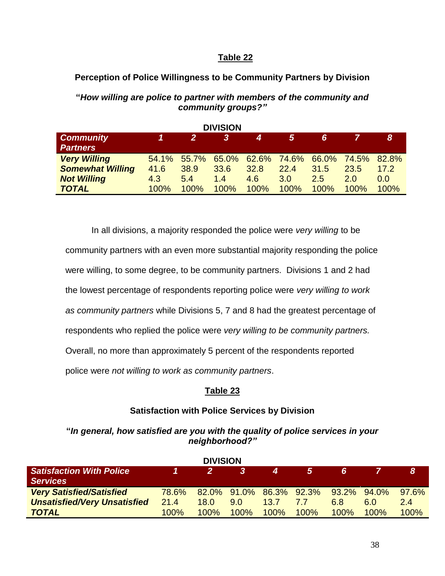# **Table 22**

# **Perception of Police Willingness to be Community Partners by Division**

# **"***How willing are police to partner with members of the community and community groups?"*

**DIVISION**

| <b>DIVISION</b>         |       |              |       |      |                  |      |                   |         |  |  |
|-------------------------|-------|--------------|-------|------|------------------|------|-------------------|---------|--|--|
| <b>Community</b>        |       | $\mathbf{2}$ | 3     | 4    | 5                | 6.   |                   | 8       |  |  |
| <b>Partners</b>         |       |              |       |      |                  |      |                   |         |  |  |
| <b>Very Willing</b>     | 54.1% | 55.7%        | 65.0% |      | 62.6% 74.6%      |      | 66.0% 74.5% 82.8% |         |  |  |
| <b>Somewhat Willing</b> | 41.6  | 38.9         | 33.6  | 32.8 | 22.4             | 31.5 | 23.5              | 17.2    |  |  |
| <b>Not Willing</b>      | 4.3   | 5.4          | 1.4   | 4.6  | 3.0 <sub>2</sub> | 2.5  | 2 O               | 0.0     |  |  |
| <b>TOTAL</b>            | 100%  | 100%         | 100%  | 100% | 100%             | 100% | 100%              | $100\%$ |  |  |

In all divisions, a majority responded the police were *very willing* to be community partners with an even more substantial majority responding the police were willing, to some degree, to be community partners. Divisions 1 and 2 had the lowest percentage of respondents reporting police were *very willing to work as community partners* while Divisions 5, 7 and 8 had the greatest percentage of respondents who replied the police were *very willing to be community partners.* Overall, no more than approximately 5 percent of the respondents reported police were *not willing to work as community partners*.

# **Table 23**

# **Satisfaction with Police Services by Division**

# **"***In general, how satisfied are you with the quality of police services in your neighborhood?"*

| <b>DIVISION</b>                     |                |              |      |      |                         |             |      |          |  |  |
|-------------------------------------|----------------|--------------|------|------|-------------------------|-------------|------|----------|--|--|
| <b>Satisfaction With Police</b>     | $\blacksquare$ | $\mathbf{P}$ | 3    | 4    | 5.                      | 6           |      |          |  |  |
| <b>Services</b>                     |                |              |      |      |                         |             |      |          |  |  |
| <b>Very Satisfied/Satisfied</b>     | <b>78.6%</b>   |              |      |      | 82.0% 91.0% 86.3% 92.3% | 93.2% 94.0% |      | $97.6\%$ |  |  |
| <b>Unsatisfied/Very Unsatisfied</b> | 21.4           | 18.0         | 9.0  | 13.7 | 7.7                     | 6.8         | 6.0  | 2.4      |  |  |
| <b>TOTAL</b>                        | $100\%$        | $100\%$      | 100% | 100% | 100%                    | $100\%$     | 100% | 100%     |  |  |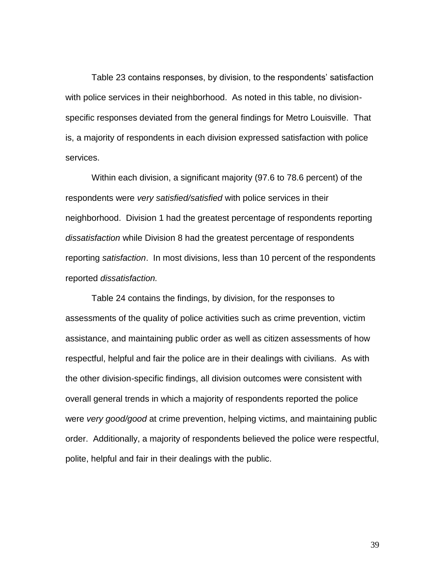Table 23 contains responses, by division, to the respondents' satisfaction with police services in their neighborhood. As noted in this table, no divisionspecific responses deviated from the general findings for Metro Louisville. That is, a majority of respondents in each division expressed satisfaction with police services.

Within each division, a significant majority (97.6 to 78.6 percent) of the respondents were *very satisfied/satisfied* with police services in their neighborhood. Division 1 had the greatest percentage of respondents reporting *dissatisfaction* while Division 8 had the greatest percentage of respondents reporting *satisfaction*. In most divisions, less than 10 percent of the respondents reported *dissatisfaction.*

Table 24 contains the findings, by division, for the responses to assessments of the quality of police activities such as crime prevention, victim assistance, and maintaining public order as well as citizen assessments of how respectful, helpful and fair the police are in their dealings with civilians. As with the other division-specific findings, all division outcomes were consistent with overall general trends in which a majority of respondents reported the police were *very good/good* at crime prevention, helping victims, and maintaining public order. Additionally, a majority of respondents believed the police were respectful, polite, helpful and fair in their dealings with the public.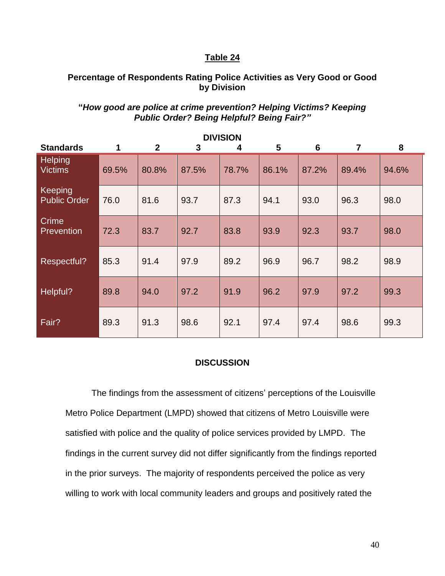#### **Table 24**

### **Percentage of Respondents Rating Police Activities as Very Good or Good by Division**

# **"***How good are police at crime prevention? Helping Victims? Keeping Public Order? Being Helpful? Being Fair?"*

| <b>DIVISION</b>                  |             |                |              |       |       |       |                |       |  |  |  |
|----------------------------------|-------------|----------------|--------------|-------|-------|-------|----------------|-------|--|--|--|
| <b>Standards</b>                 | $\mathbf 1$ | $\overline{2}$ | $\mathbf{3}$ | 4     | 5     | 6     | $\overline{7}$ | 8     |  |  |  |
| <b>Helping</b><br><b>Victims</b> | 69.5%       | 80.8%          | 87.5%        | 78.7% | 86.1% | 87.2% | 89.4%          | 94.6% |  |  |  |
| Keeping<br><b>Public Order</b>   | 76.0        | 81.6           | 93.7         | 87.3  | 94.1  | 93.0  | 96.3           | 98.0  |  |  |  |
| Crime<br><b>Prevention</b>       | 72.3        | 83.7           | 92.7         | 83.8  | 93.9  | 92.3  | 93.7           | 98.0  |  |  |  |
| Respectful?                      | 85.3        | 91.4           | 97.9         | 89.2  | 96.9  | 96.7  | 98.2           | 98.9  |  |  |  |
| Helpful?                         | 89.8        | 94.0           | 97.2         | 91.9  | 96.2  | 97.9  | 97.2           | 99.3  |  |  |  |
| Fair?                            | 89.3        | 91.3           | 98.6         | 92.1  | 97.4  | 97.4  | 98.6           | 99.3  |  |  |  |

#### **DISCUSSION**

The findings from the assessment of citizens' perceptions of the Louisville Metro Police Department (LMPD) showed that citizens of Metro Louisville were satisfied with police and the quality of police services provided by LMPD. The findings in the current survey did not differ significantly from the findings reported in the prior surveys. The majority of respondents perceived the police as very willing to work with local community leaders and groups and positively rated the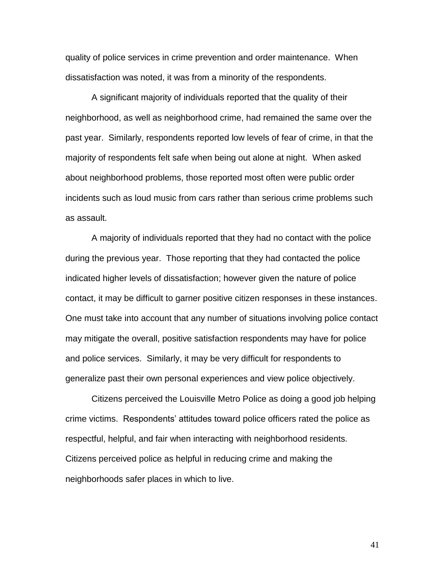quality of police services in crime prevention and order maintenance. When dissatisfaction was noted, it was from a minority of the respondents.

A significant majority of individuals reported that the quality of their neighborhood, as well as neighborhood crime, had remained the same over the past year. Similarly, respondents reported low levels of fear of crime, in that the majority of respondents felt safe when being out alone at night. When asked about neighborhood problems, those reported most often were public order incidents such as loud music from cars rather than serious crime problems such as assault.

A majority of individuals reported that they had no contact with the police during the previous year. Those reporting that they had contacted the police indicated higher levels of dissatisfaction; however given the nature of police contact, it may be difficult to garner positive citizen responses in these instances. One must take into account that any number of situations involving police contact may mitigate the overall, positive satisfaction respondents may have for police and police services. Similarly, it may be very difficult for respondents to generalize past their own personal experiences and view police objectively.

Citizens perceived the Louisville Metro Police as doing a good job helping crime victims. Respondents' attitudes toward police officers rated the police as respectful, helpful, and fair when interacting with neighborhood residents. Citizens perceived police as helpful in reducing crime and making the neighborhoods safer places in which to live.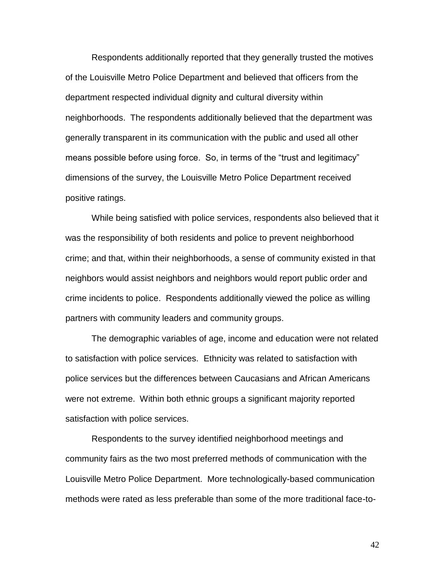Respondents additionally reported that they generally trusted the motives of the Louisville Metro Police Department and believed that officers from the department respected individual dignity and cultural diversity within neighborhoods. The respondents additionally believed that the department was generally transparent in its communication with the public and used all other means possible before using force. So, in terms of the "trust and legitimacy" dimensions of the survey, the Louisville Metro Police Department received positive ratings.

While being satisfied with police services, respondents also believed that it was the responsibility of both residents and police to prevent neighborhood crime; and that, within their neighborhoods, a sense of community existed in that neighbors would assist neighbors and neighbors would report public order and crime incidents to police. Respondents additionally viewed the police as willing partners with community leaders and community groups.

The demographic variables of age, income and education were not related to satisfaction with police services. Ethnicity was related to satisfaction with police services but the differences between Caucasians and African Americans were not extreme. Within both ethnic groups a significant majority reported satisfaction with police services.

Respondents to the survey identified neighborhood meetings and community fairs as the two most preferred methods of communication with the Louisville Metro Police Department. More technologically-based communication methods were rated as less preferable than some of the more traditional face-to-